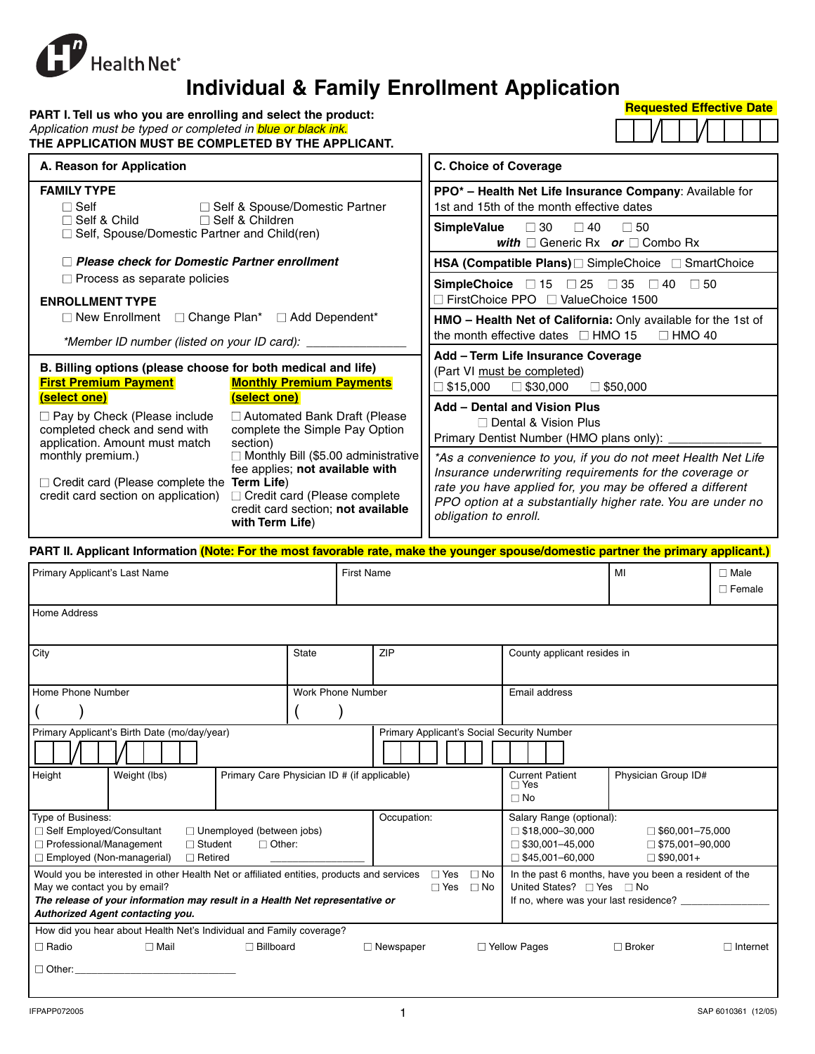

# **Individual & Family Enrollment Application**

| PART I. Tell us who you are enrolling and select the product:       |
|---------------------------------------------------------------------|
| Application must be typed or completed in <i>blue or black ink.</i> |
| THE APPLICATION MUST BE COMPLETED BY THE APPLICANT.                 |

| <b>Requested Effective Date</b> |
|---------------------------------|
| _______________                 |

|--|

| A. Reason for Application                                                                                                                                                                                                                                                                       | <b>C. Choice of Coverage</b>                                                                                                                                                                                                                                                 |  |  |  |
|-------------------------------------------------------------------------------------------------------------------------------------------------------------------------------------------------------------------------------------------------------------------------------------------------|------------------------------------------------------------------------------------------------------------------------------------------------------------------------------------------------------------------------------------------------------------------------------|--|--|--|
| <b>FAMILY TYPE</b><br>$\Box$ Self<br>□ Self & Spouse/Domestic Partner                                                                                                                                                                                                                           | PPO <sup>*</sup> - Health Net Life Insurance Company: Available for<br>1st and 15th of the month effective dates                                                                                                                                                             |  |  |  |
| $\Box$ Self & Child<br>$\Box$ Self & Children<br>$\Box$ Self, Spouse/Domestic Partner and Child(ren)                                                                                                                                                                                            | $SimpleValue \square 30$<br>□ 40<br>$\Box$ 50<br>with $\Box$ Generic Rx or $\Box$ Combo Rx                                                                                                                                                                                   |  |  |  |
| $\Box$ Please check for Domestic Partner enrollment                                                                                                                                                                                                                                             | HSA (Compatible Plans) [ SimpleChoice   SmartChoice                                                                                                                                                                                                                          |  |  |  |
| $\Box$ Process as separate policies<br><b>ENROLLMENT TYPE</b>                                                                                                                                                                                                                                   | SimpleChoice $\Box$ 15 $\Box$ 25 $\Box$ 35 $\Box$ 40 $\Box$ 50<br>$\Box$ FirstChoice PPO $\Box$ ValueChoice 1500                                                                                                                                                             |  |  |  |
| $\Box$ New Enrollment $\Box$ Change Plan* $\Box$ Add Dependent*<br>*Member ID number (listed on your ID card): _                                                                                                                                                                                | HMO - Health Net of California: Only available for the 1st of<br>the month effective dates $\Box$ HMO 15 $\Box$ HMO 40                                                                                                                                                       |  |  |  |
| B. Billing options (please choose for both medical and life)<br><b>First Premium Payment</b><br><b>Monthly Premium Payments</b>                                                                                                                                                                 | Add - Term Life Insurance Coverage<br>(Part VI must be completed)<br>$\square$ \$15,000<br>$\Box$ \$30,000<br>$\Box$ \$50,000                                                                                                                                                |  |  |  |
| (select one)<br>(select one)<br>$\Box$ Pay by Check (Please include<br>□ Automated Bank Draft (Please<br>completed check and send with<br>complete the Simple Pay Option<br>application. Amount must match<br>section)                                                                          | Add - Dental and Vision Plus<br>□ Dental & Vision Plus<br>Primary Dentist Number (HMO plans only): _                                                                                                                                                                         |  |  |  |
| $\Box$ Monthly Bill (\$5.00 administrative<br>monthly premium.)<br>fee applies; not available with<br>$\Box$ Credit card (Please complete the Term Life)<br>$\Box$ Credit card (Please complete<br>credit card section on application)<br>credit card section; not available<br>with Term Life) | *As a convenience to you, if you do not meet Health Net Life<br>Insurance underwriting requirements for the coverage or<br>rate you have applied for, you may be offered a different<br>PPO option at a substantially higher rate. You are under no<br>obligation to enroll. |  |  |  |
| PART II. Applicant Information (Note: For the most favorable rate, make the younger spouse/domestic partner the primary applicant.)                                                                                                                                                             |                                                                                                                                                                                                                                                                              |  |  |  |

| Primary Applicant's Last Name                                                                                                                                                                                                                 | <b>First Name</b>                           |                                                                                                |                                                                                                        | MI                                                                   | $\Box$ Male<br>$\Box$ Female |
|-----------------------------------------------------------------------------------------------------------------------------------------------------------------------------------------------------------------------------------------------|---------------------------------------------|------------------------------------------------------------------------------------------------|--------------------------------------------------------------------------------------------------------|----------------------------------------------------------------------|------------------------------|
| <b>Home Address</b>                                                                                                                                                                                                                           |                                             |                                                                                                |                                                                                                        |                                                                      |                              |
| City                                                                                                                                                                                                                                          | State                                       | <b>ZIP</b>                                                                                     | County applicant resides in                                                                            |                                                                      |                              |
| Home Phone Number                                                                                                                                                                                                                             | Work Phone Number                           |                                                                                                | Email address                                                                                          |                                                                      |                              |
|                                                                                                                                                                                                                                               |                                             |                                                                                                |                                                                                                        |                                                                      |                              |
| Primary Applicant's Birth Date (mo/day/year)                                                                                                                                                                                                  |                                             | Primary Applicant's Social Security Number                                                     |                                                                                                        |                                                                      |                              |
|                                                                                                                                                                                                                                               |                                             |                                                                                                |                                                                                                        |                                                                      |                              |
| Height<br>Weight (lbs)                                                                                                                                                                                                                        | Primary Care Physician ID # (if applicable) |                                                                                                | <b>Current Patient</b><br>$\Box$ Yes<br>$\Box$ No                                                      | Physician Group ID#                                                  |                              |
| Type of Business:<br>□ Self Employed/Consultant<br>$\Box$ Unemployed (between jobs)<br>$\Box$ Professional/Management<br>$\Box$ Other:<br>$\Box$ Student<br>$\Box$ Employed (Non-managerial)<br>$\Box$ Retired                                |                                             | Occupation:                                                                                    | Salary Range (optional):<br>$\Box$ \$18,000-30,000<br>$\Box$ \$30,001-45,000<br>$\Box$ \$45,001-60,000 | $\Box$ \$60,001-75,000<br>$\Box$ \$75,001-90,000<br>$\Box$ \$90,001+ |                              |
| Would you be interested in other Health Net or affiliated entities, products and services<br>May we contact you by email?<br>The release of your information may result in a Health Net representative or<br>Authorized Agent contacting you. | United States? □ Yes □ No                   | In the past 6 months, have you been a resident of the<br>If no, where was your last residence? |                                                                                                        |                                                                      |                              |
| How did you hear about Health Net's Individual and Family coverage?                                                                                                                                                                           |                                             |                                                                                                |                                                                                                        |                                                                      |                              |
| $\Box$ Mail<br>$\Box$ Billboard<br>$\Box$ Radio                                                                                                                                                                                               |                                             | $\Box$ Newspaper                                                                               | $\Box$ Yellow Pages                                                                                    | $\Box$ Broker                                                        | $\Box$ Internet              |
| $\Box$ Other:                                                                                                                                                                                                                                 |                                             |                                                                                                |                                                                                                        |                                                                      |                              |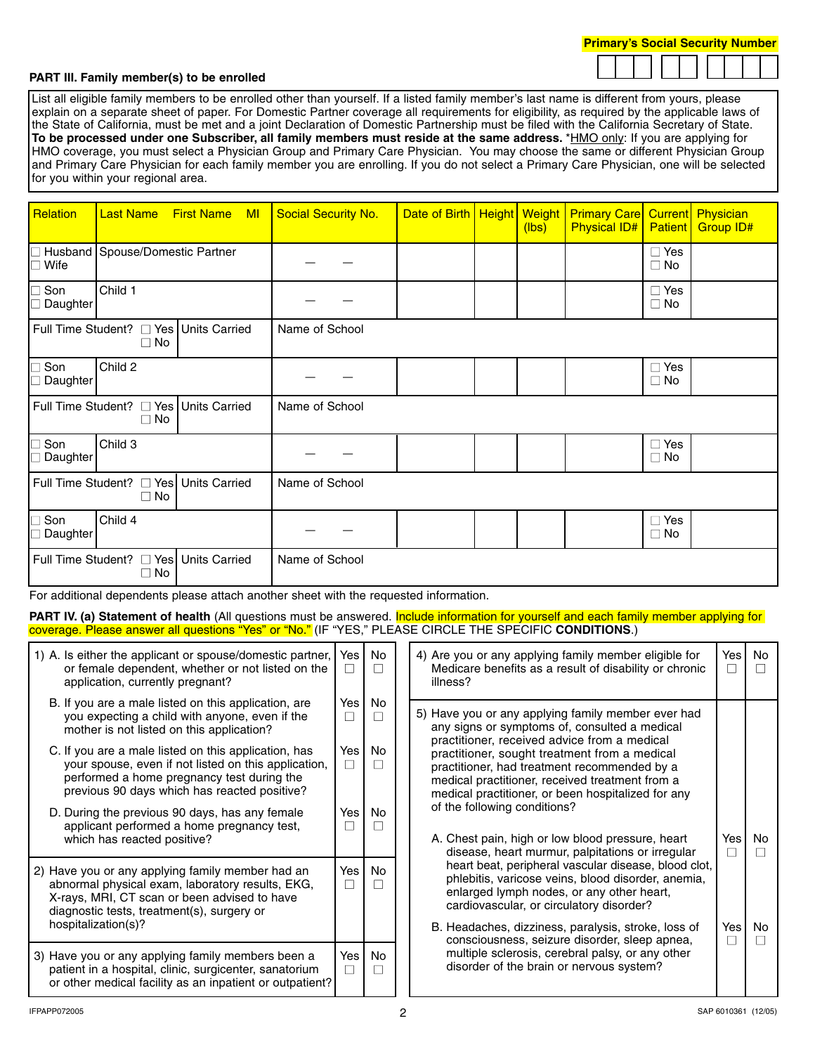|  | and the state of the state of the state of the state of the state of the state of the state of the state of th |
|--|----------------------------------------------------------------------------------------------------------------|
|  |                                                                                                                |
|  |                                                                                                                |
|  |                                                                                                                |
|  |                                                                                                                |
|  |                                                                                                                |
|  |                                                                                                                |
|  |                                                                                                                |
|  |                                                                                                                |
|  |                                                                                                                |
|  |                                                                                                                |

#### **PART III. Family member(s) to be enrolled**

List all eligible family members to be enrolled other than yourself. If a listed family member's last name is different from yours, please explain on a separate sheet of paper. For Domestic Partner coverage all requirements for eligibility, as required by the applicable laws of the State of California, must be met and a joint Declaration of Domestic Partnership must be filed with the California Secretary of State. To be processed under one Subscriber, all family members must reside at the same address. \*HMO only: If you are applying for HMO coverage, you must select a Physician Group and Primary Care Physician. You may choose the same or different Physician Group and Primary Care Physician for each family member you are enrolling. If you do not select a Primary Care Physician, one will be selected for you within your regional area.

| Relation                                                             | <b>Last Name</b>                                    | <b>First Name</b>     | M <sub>l</sub> | <b>Social Security No.</b> | Date of Birth   Height   Weight |  | (lbs) | <b>Primary Care</b><br><b>Physical ID#</b> | <b>Current</b><br><b>Patient</b> | Physician<br><b>Group ID#</b> |  |  |
|----------------------------------------------------------------------|-----------------------------------------------------|-----------------------|----------------|----------------------------|---------------------------------|--|-------|--------------------------------------------|----------------------------------|-------------------------------|--|--|
| Wife                                                                 | Husband Spouse/Domestic Partner                     |                       |                |                            |                                 |  |       |                                            | $\Box$ Yes<br>$\Box$ No          |                               |  |  |
| Son<br>Daughter                                                      | Child 1                                             |                       |                |                            |                                 |  |       |                                            | $\Box$ Yes<br>$\Box$ No          |                               |  |  |
| Full Time Student? □ Yes Units Carried<br>$\Box$ No                  |                                                     |                       |                | Name of School             |                                 |  |       |                                            |                                  |                               |  |  |
| Son<br>Daughter                                                      | Child 2                                             |                       |                |                            |                                 |  |       |                                            | $\Box$ Yes<br>$\Box$ No          |                               |  |  |
|                                                                      | Full Time Student? □ Yes Units Carried<br>$\Box$ No |                       |                | Name of School             |                                 |  |       |                                            |                                  |                               |  |  |
| $\Box$ Son<br>Daughter                                               | Child 3                                             |                       |                |                            |                                 |  |       |                                            | $\Box$ Yes<br>$\Box$ No          |                               |  |  |
| Full Time Student?<br><u> </u> $\Box$ Yes Units Carried<br>$\Box$ No |                                                     |                       |                | Name of School             |                                 |  |       |                                            |                                  |                               |  |  |
| Son<br>Daughter                                                      | Child 4                                             |                       |                |                            |                                 |  |       |                                            | $\Box$ Yes<br>$\Box$ No          |                               |  |  |
| Full Time Student?                                                   | $\Box$ No                                           | □ Yes   Units Carried |                | Name of School             |                                 |  |       |                                            |                                  |                               |  |  |

For additional dependents please attach another sheet with the requested information.

PART IV. (a) Statement of health (All questions must be answered. Include information for yourself and each family member applying for coverage. Please answer all questions "Yes" or "No." (IF "YES," PLEASE CIRCLE THE SPECIFIC **CONDITIONS**.)

| 1) A. Is either the applicant or spouse/domestic partner,<br>or female dependent, whether or not listed on the<br>application, currently pregnant?                                                         | Yes l<br>П            | No<br>$\mathbf{I}$        |  | 4) Are you or any applying family member eligible for<br>Medicare benefits as a result of disability or chronic<br>illness?                                                                                                                                                                                                                                                                                                                                                                                                                                                                           | Yesl<br>$\mathsf{L}$ | No                             |
|------------------------------------------------------------------------------------------------------------------------------------------------------------------------------------------------------------|-----------------------|---------------------------|--|-------------------------------------------------------------------------------------------------------------------------------------------------------------------------------------------------------------------------------------------------------------------------------------------------------------------------------------------------------------------------------------------------------------------------------------------------------------------------------------------------------------------------------------------------------------------------------------------------------|----------------------|--------------------------------|
| B. If you are a male listed on this application, are<br>you expecting a child with anyone, even if the<br>mother is not listed on this application?                                                        | Yes I<br>□            | <b>No</b><br>$\mathsf{L}$ |  | 5) Have you or any applying family member ever had<br>any signs or symptoms of, consulted a medical                                                                                                                                                                                                                                                                                                                                                                                                                                                                                                   |                      |                                |
| C. If you are a male listed on this application, has<br>your spouse, even if not listed on this application,<br>performed a home pregnancy test during the<br>previous 90 days which has reacted positive? | Yes l<br>$\Box$       | No                        |  | practitioner, received advice from a medical<br>practitioner, sought treatment from a medical<br>practitioner, had treatment recommended by a<br>medical practitioner, received treatment from a<br>medical practitioner, or been hospitalized for any<br>of the following conditions?<br>A. Chest pain, high or low blood pressure, heart<br>disease, heart murmur, palpitations or irregular<br>heart beat, peripheral vascular disease, blood clot,<br>phlebitis, varicose veins, blood disorder, anemia,<br>enlarged lymph nodes, or any other heart,<br>cardiovascular, or circulatory disorder? |                      |                                |
| D. During the previous 90 days, has any female<br>applicant performed a home pregnancy test,<br>which has reacted positive?                                                                                | Yes  <br>$\mathsf{L}$ | No                        |  |                                                                                                                                                                                                                                                                                                                                                                                                                                                                                                                                                                                                       |                      | Yes l<br>No.<br>$\blacksquare$ |
| 2) Have you or any applying family member had an<br>abnormal physical exam, laboratory results, EKG,<br>X-rays, MRI, CT scan or been advised to have<br>diagnostic tests, treatment(s), surgery or         | Yes  <br>$\Box$       | <b>No</b>                 |  |                                                                                                                                                                                                                                                                                                                                                                                                                                                                                                                                                                                                       |                      |                                |
| hospitalization(s)?                                                                                                                                                                                        |                       |                           |  | B. Headaches, dizziness, paralysis, stroke, loss of<br>consciousness, seizure disorder, sleep apnea,                                                                                                                                                                                                                                                                                                                                                                                                                                                                                                  | Yes l<br>$\perp$     | No                             |
| 3) Have you or any applying family members been a<br>patient in a hospital, clinic, surgicenter, sanatorium<br>or other medical facility as an inpatient or outpatient?                                    | Yes  <br>$\Box$       | No                        |  | multiple sclerosis, cerebral palsy, or any other<br>disorder of the brain or nervous system?                                                                                                                                                                                                                                                                                                                                                                                                                                                                                                          |                      |                                |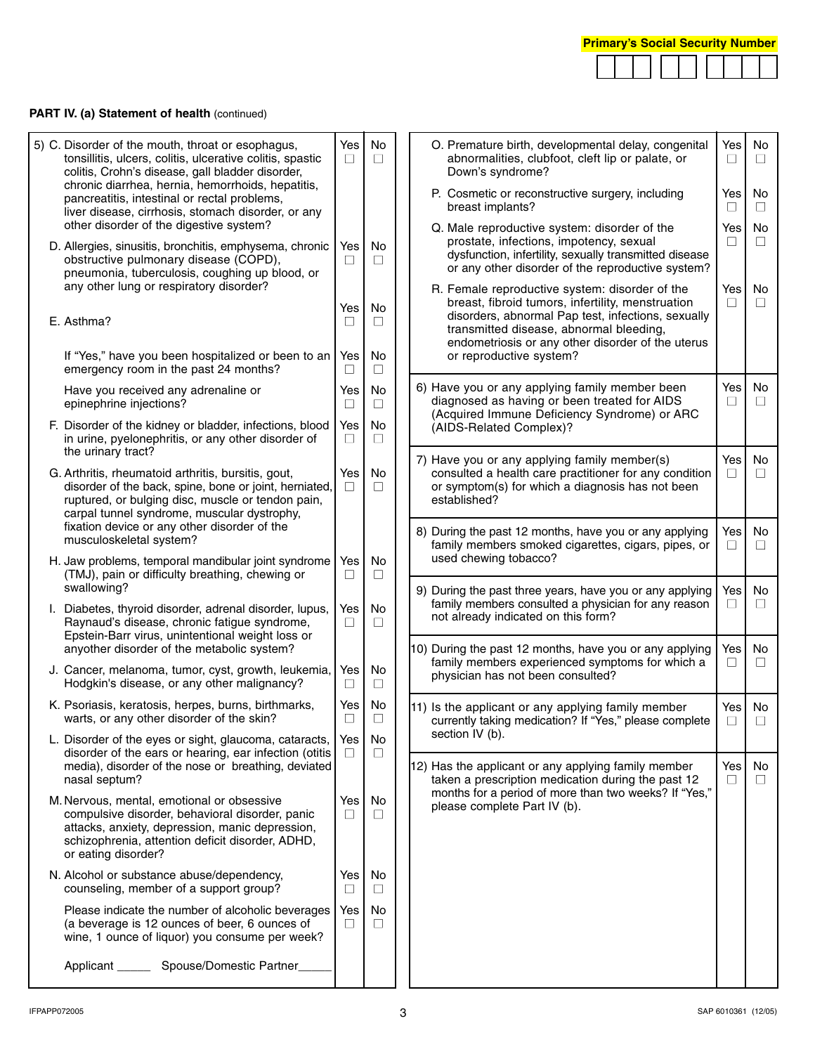|  |  | <b>Primary's Social Security Number</b> |  |  |  |  |  |  |  |
|--|--|-----------------------------------------|--|--|--|--|--|--|--|
|  |  |                                         |  |  |  |  |  |  |  |

# **PART IV. (a) Statement of health (continued)**

| 5) C. Disorder of the mouth, throat or esophagus,<br>tonsillitis, ulcers, colitis, ulcerative colitis, spastic<br>colitis, Crohn's disease, gall bladder disorder,                                                          | Yes<br>$\Box$ | No<br>$\Box$  |  |                                                                                            | O. Premature birth, developmental delay, congenital<br>abnormalities, clubfoot, cleft lip or palate, or<br>Down's syndrome?                                                                          | Yes<br>□                                                                                                                                                                                               | No<br>$\Box$  |         |
|-----------------------------------------------------------------------------------------------------------------------------------------------------------------------------------------------------------------------------|---------------|---------------|--|--------------------------------------------------------------------------------------------|------------------------------------------------------------------------------------------------------------------------------------------------------------------------------------------------------|--------------------------------------------------------------------------------------------------------------------------------------------------------------------------------------------------------|---------------|---------|
| chronic diarrhea, hernia, hemorrhoids, hepatitis,<br>pancreatitis, intestinal or rectal problems,<br>liver disease, cirrhosis, stomach disorder, or any                                                                     |               |               |  |                                                                                            | P. Cosmetic or reconstructive surgery, including<br>breast implants?                                                                                                                                 | Yes<br>П                                                                                                                                                                                               | No<br>$\perp$ |         |
| other disorder of the digestive system?<br>D. Allergies, sinusitis, bronchitis, emphysema, chronic<br>obstructive pulmonary disease (COPD),<br>pneumonia, tuberculosis, coughing up blood, or                               | Yes<br>⊔      | No<br>$\Box$  |  |                                                                                            |                                                                                                                                                                                                      | Q. Male reproductive system: disorder of the<br>prostate, infections, impotency, sexual<br>dysfunction, infertility, sexually transmitted disease<br>or any other disorder of the reproductive system? | Yes<br>□      | No<br>□ |
| any other lung or respiratory disorder?<br>E. Asthma?                                                                                                                                                                       | Yes<br>□      | No<br>$\Box$  |  |                                                                                            | R. Female reproductive system: disorder of the<br>breast, fibroid tumors, infertility, menstruation<br>disorders, abnormal Pap test, infections, sexually<br>transmitted disease, abnormal bleeding, | Yes<br>$\Box$                                                                                                                                                                                          | No<br>П       |         |
| If "Yes," have you been hospitalized or been to an<br>emergency room in the past 24 months?                                                                                                                                 | Yes<br>⊔      | No<br>□       |  |                                                                                            | endometriosis or any other disorder of the uterus<br>or reproductive system?                                                                                                                         |                                                                                                                                                                                                        |               |         |
| Have you received any adrenaline or<br>epinephrine injections?                                                                                                                                                              | Yes<br>⊔      | No<br>$\Box$  |  |                                                                                            | 6) Have you or any applying family member been<br>diagnosed as having or been treated for AIDS<br>(Acquired Immune Deficiency Syndrome) or ARC                                                       | Yes<br>□                                                                                                                                                                                               | No<br>□       |         |
| F. Disorder of the kidney or bladder, infections, blood<br>in urine, pyelonephritis, or any other disorder of<br>the urinary tract?                                                                                         | Yes<br>$\Box$ | No<br>$\Box$  |  |                                                                                            | (AIDS-Related Complex)?                                                                                                                                                                              |                                                                                                                                                                                                        |               |         |
| G. Arthritis, rheumatoid arthritis, bursitis, gout,<br>disorder of the back, spine, bone or joint, herniated,<br>ruptured, or bulging disc, muscle or tendon pain,<br>carpal tunnel syndrome, muscular dystrophy,           | Yes<br>$\Box$ | No<br>$\Box$  |  |                                                                                            | 7) Have you or any applying family member(s)<br>consulted a health care practitioner for any condition<br>or symptom(s) for which a diagnosis has not been<br>established?                           | Yes<br>□                                                                                                                                                                                               | No<br>□       |         |
| fixation device or any other disorder of the<br>musculoskeletal system?                                                                                                                                                     |               |               |  |                                                                                            | 8) During the past 12 months, have you or any applying<br>family members smoked cigarettes, cigars, pipes, or                                                                                        | Yes<br>□                                                                                                                                                                                               | No<br>$\Box$  |         |
| H. Jaw problems, temporal mandibular joint syndrome<br>(TMJ), pain or difficulty breathing, chewing or<br>swallowing?                                                                                                       | Yes<br>$\Box$ | No<br>$\Box$  |  |                                                                                            | used chewing tobacco?<br>9) During the past three years, have you or any applying                                                                                                                    | Yes                                                                                                                                                                                                    | No            |         |
| I. Diabetes, thyroid disorder, adrenal disorder, lupus,<br>Raynaud's disease, chronic fatigue syndrome,<br>Epstein-Barr virus, unintentional weight loss or                                                                 | Yes<br>$\Box$ | No<br>$\Box$  |  | family members consulted a physician for any reason<br>not already indicated on this form? |                                                                                                                                                                                                      | ⊔                                                                                                                                                                                                      | $\Box$        |         |
| anyother disorder of the metabolic system?<br>J. Cancer, melanoma, tumor, cyst, growth, leukemia,<br>Hodgkin's disease, or any other malignancy?                                                                            | Yes<br>⊔      | No<br>Ш       |  |                                                                                            | 10) During the past 12 months, have you or any applying<br>family members experienced symptoms for which a<br>physician has not been consulted?                                                      | Yes<br>$\Box$                                                                                                                                                                                          | No<br>$\Box$  |         |
| K. Psoriasis, keratosis, herpes, burns, birthmarks,<br>warts, or any other disorder of the skin?                                                                                                                            | Yes<br>□      | No<br>$\Box$  |  |                                                                                            | 11) Is the applicant or any applying family member<br>currently taking medication? If "Yes," please complete                                                                                         | Yes<br>□                                                                                                                                                                                               | No<br>□       |         |
| L. Disorder of the eyes or sight, glaucoma, cataracts,<br>disorder of the ears or hearing, ear infection (otitis<br>media), disorder of the nose or breathing, deviated<br>nasal septum?                                    | Yes<br>$\Box$ | No<br>$\Box$  |  |                                                                                            | section IV (b).<br>12) Has the applicant or any applying family member<br>taken a prescription medication during the past 12                                                                         | Yes  <br>$\Box$                                                                                                                                                                                        | No.<br>$\Box$ |         |
| M. Nervous, mental, emotional or obsessive<br>compulsive disorder, behavioral disorder, panic<br>attacks, anxiety, depression, manic depression,<br>schizophrenia, attention deficit disorder, ADHD,<br>or eating disorder? | Yes<br>П      | No<br>$\Box$  |  |                                                                                            | months for a period of more than two weeks? If "Yes,"<br>please complete Part IV (b).                                                                                                                |                                                                                                                                                                                                        |               |         |
| N. Alcohol or substance abuse/dependency,<br>counseling, member of a support group?                                                                                                                                         | Yes<br>$\Box$ | No<br>$\Box$  |  |                                                                                            |                                                                                                                                                                                                      |                                                                                                                                                                                                        |               |         |
| Please indicate the number of alcoholic beverages<br>(a beverage is 12 ounces of beer, 6 ounces of<br>wine, 1 ounce of liquor) you consume per week?                                                                        | Yes<br>$\Box$ | No.<br>$\Box$ |  |                                                                                            |                                                                                                                                                                                                      |                                                                                                                                                                                                        |               |         |
| Applicant ________ Spouse/Domestic Partner_                                                                                                                                                                                 |               |               |  |                                                                                            |                                                                                                                                                                                                      |                                                                                                                                                                                                        |               |         |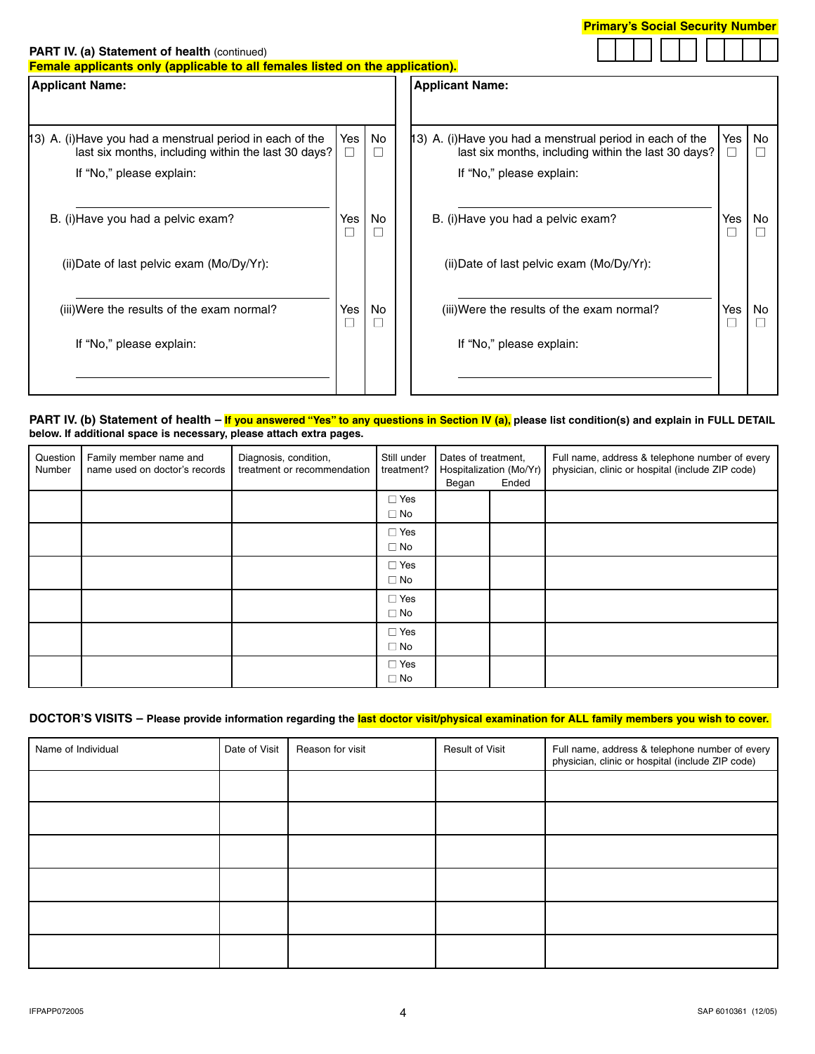

#### **PART IV. (a) Statement of health (continued)**

**Female applicants only (applicable to all females listed on the application).**

| <b>Applicant Name:</b> |                                                            |                                                                                                                 |                        |           |  |
|------------------------|------------------------------------------------------------|-----------------------------------------------------------------------------------------------------------------|------------------------|-----------|--|
|                        |                                                            |                                                                                                                 |                        |           |  |
| $\Box$                 | No<br>$\Box$                                               | 13) A. (i)Have you had a menstrual period in each of the<br>last six months, including within the last 30 days? | Yes<br>⊔               | <b>No</b> |  |
|                        |                                                            | If "No," please explain:                                                                                        |                        |           |  |
| Yes<br>$\Box$          | No<br>$\Box$                                               | B. (i) Have you had a pelvic exam?                                                                              | Yes<br>⊔               | No        |  |
|                        |                                                            | (ii) Date of last pelvic exam $(Mo/Dy/Yr)$ :                                                                    |                        |           |  |
| Yes<br>⊏               | No<br>П                                                    | (iii) Were the results of the exam normal?                                                                      | Yes                    | No        |  |
|                        |                                                            | If "No," please explain:                                                                                        |                        |           |  |
|                        |                                                            |                                                                                                                 |                        |           |  |
|                        | Yes<br>last six months, including within the last 30 days? |                                                                                                                 | <b>Applicant Name:</b> |           |  |

#### **PART IV. (b) Statement of health – If you answered "Yes" to any questions in Section IV (a), please list condition(s) and explain in FULL DETAIL below. If additional space is necessary, please attach extra pages.**

| Question<br>Number | Family member name and<br>name used on doctor's records | Diagnosis, condition,<br>treatment or recommendation | Still under<br>treatment?     | Dates of treatment,<br>Hospitalization (Mo/Yr)<br>Ended<br>Began |  |  |  | Full name, address & telephone number of every<br>physician, clinic or hospital (include ZIP code) |
|--------------------|---------------------------------------------------------|------------------------------------------------------|-------------------------------|------------------------------------------------------------------|--|--|--|----------------------------------------------------------------------------------------------------|
|                    |                                                         |                                                      | $\Box$ Yes<br>$\square$ No    |                                                                  |  |  |  |                                                                                                    |
|                    |                                                         |                                                      | $\Box$ Yes<br>$\Box$ No       |                                                                  |  |  |  |                                                                                                    |
|                    |                                                         |                                                      | $\Box$ Yes<br>$\square$ No    |                                                                  |  |  |  |                                                                                                    |
|                    |                                                         |                                                      | $\Box$ Yes<br>$\square$ No    |                                                                  |  |  |  |                                                                                                    |
|                    |                                                         |                                                      | $\Box$ Yes<br>$\Box$ No       |                                                                  |  |  |  |                                                                                                    |
|                    |                                                         |                                                      | $\square$ Yes<br>$\square$ No |                                                                  |  |  |  |                                                                                                    |

### **DOCTOR'S VISITS – Please provide information regarding the last doctor visit/physical examination for ALL family members you wish to cover.**

| Name of Individual | Date of Visit | Reason for visit | <b>Result of Visit</b> | Full name, address & telephone number of every<br>physician, clinic or hospital (include ZIP code) |
|--------------------|---------------|------------------|------------------------|----------------------------------------------------------------------------------------------------|
|                    |               |                  |                        |                                                                                                    |
|                    |               |                  |                        |                                                                                                    |
|                    |               |                  |                        |                                                                                                    |
|                    |               |                  |                        |                                                                                                    |
|                    |               |                  |                        |                                                                                                    |
|                    |               |                  |                        |                                                                                                    |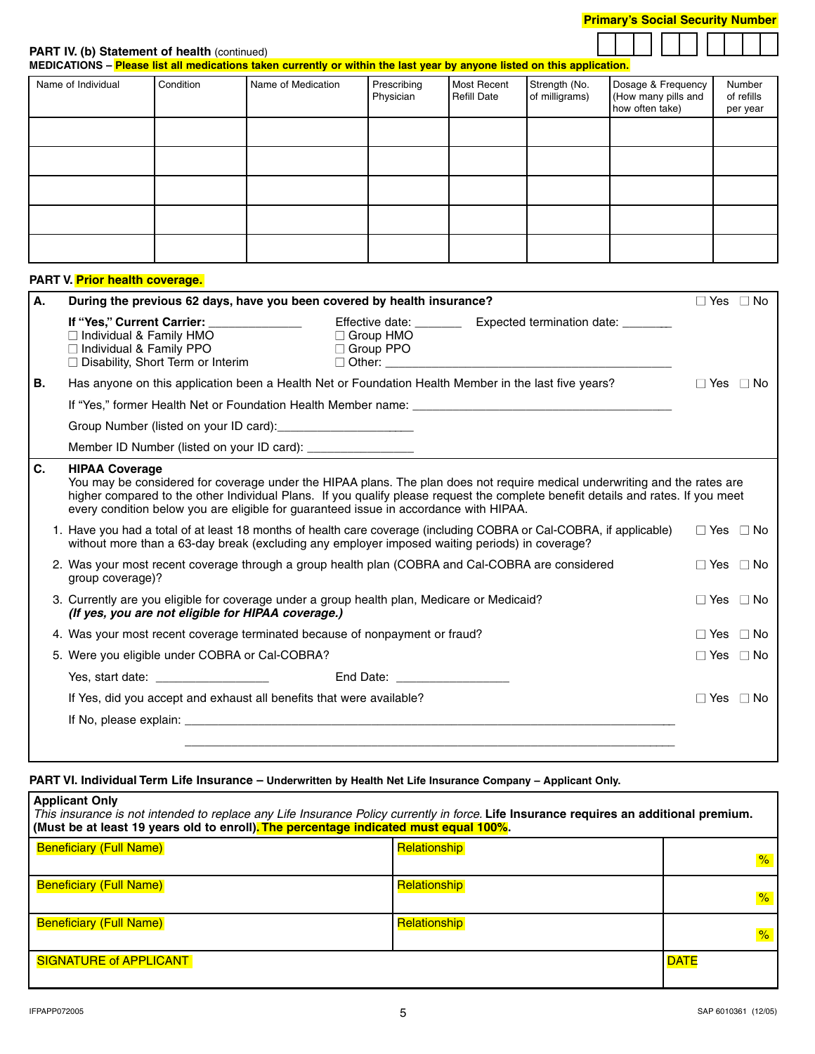| <b>Primary's Social Security Number</b> |
|-----------------------------------------|
|-----------------------------------------|

**PART IV. (b) Statement of health (continued)** 

**MEDICATIONS – Please list all medications taken currently or within the last year by anyone listed on this application.**

| Name of Individual | Condition | Name of Medication | Prescribing<br>Physician | Most Recent<br>Refill Date | Strength (No.<br>of milligrams) | Dosage & Frequency<br>(How many pills and<br>how often take) | Number<br>of refills<br>per year |
|--------------------|-----------|--------------------|--------------------------|----------------------------|---------------------------------|--------------------------------------------------------------|----------------------------------|
|                    |           |                    |                          |                            |                                 |                                                              |                                  |
|                    |           |                    |                          |                            |                                 |                                                              |                                  |
|                    |           |                    |                          |                            |                                 |                                                              |                                  |
|                    |           |                    |                          |                            |                                 |                                                              |                                  |
|                    |           |                    |                          |                            |                                 |                                                              |                                  |

#### **PART V. Prior health coverage.**

| А. | During the previous 62 days, have you been covered by health insurance?                                                                                                                                                                                                                                                                                                          |                                      |                                                                | $\Box$ Yes $\Box$ No |           |
|----|----------------------------------------------------------------------------------------------------------------------------------------------------------------------------------------------------------------------------------------------------------------------------------------------------------------------------------------------------------------------------------|--------------------------------------|----------------------------------------------------------------|----------------------|-----------|
|    | If "Yes," Current Carrier: ______________<br>$\Box$ Individual & Family HMO<br>$\Box$ Individual & Family PPO<br>$\Box$ Disability, Short Term or Interim                                                                                                                                                                                                                        | $\Box$ Group HMO<br>$\Box$ Group PPO | Effective date: __________ Expected termination date: ________ |                      |           |
| В. | Has anyone on this application been a Health Net or Foundation Health Member in the last five years?                                                                                                                                                                                                                                                                             |                                      |                                                                | $\Box$ Yes $\Box$ No |           |
|    | If "Yes," former Health Net or Foundation Health Member name:                                                                                                                                                                                                                                                                                                                    |                                      |                                                                |                      |           |
|    |                                                                                                                                                                                                                                                                                                                                                                                  |                                      |                                                                |                      |           |
|    | Member ID Number (listed on your ID card): __________________                                                                                                                                                                                                                                                                                                                    |                                      |                                                                |                      |           |
| C. | <b>HIPAA Coverage</b><br>You may be considered for coverage under the HIPAA plans. The plan does not require medical underwriting and the rates are<br>higher compared to the other Individual Plans. If you qualify please request the complete benefit details and rates. If you meet<br>every condition below you are eligible for guaranteed issue in accordance with HIPAA. |                                      |                                                                |                      |           |
|    | 1. Have you had a total of at least 18 months of health care coverage (including COBRA or Cal-COBRA, if applicable)<br>without more than a 63-day break (excluding any employer imposed waiting periods) in coverage?                                                                                                                                                            |                                      |                                                                | $\Box$ Yes $\Box$ No |           |
|    | 2. Was your most recent coverage through a group health plan (COBRA and Cal-COBRA are considered<br>group coverage)?                                                                                                                                                                                                                                                             |                                      |                                                                | $\Box$ Yes $\Box$ No |           |
|    | 3. Currently are you eligible for coverage under a group health plan, Medicare or Medicaid?<br>(If yes, you are not eligible for HIPAA coverage.)                                                                                                                                                                                                                                |                                      |                                                                | $\Box$ Yes $\Box$ No |           |
|    | 4. Was your most recent coverage terminated because of nonpayment or fraud?                                                                                                                                                                                                                                                                                                      |                                      |                                                                | $\Box$ Yes           | $\Box$ No |
|    | 5. Were you eligible under COBRA or Cal-COBRA?                                                                                                                                                                                                                                                                                                                                   |                                      |                                                                | $\Box$ Yes $\Box$ No |           |
|    |                                                                                                                                                                                                                                                                                                                                                                                  |                                      |                                                                |                      |           |
|    | If Yes, did you accept and exhaust all benefits that were available?                                                                                                                                                                                                                                                                                                             |                                      |                                                                | $\Box$ Yes $\Box$ No |           |
|    |                                                                                                                                                                                                                                                                                                                                                                                  |                                      |                                                                |                      |           |
|    |                                                                                                                                                                                                                                                                                                                                                                                  |                                      |                                                                |                      |           |

## **PART VI. Individual Term Life Insurance – Underwritten by Health Net Life Insurance Company – Applicant Only.**

| <b>Applicant Only</b><br>This insurance is not intended to replace any Life Insurance Policy currently in force. Life Insurance requires an additional premium.<br>(Must be at least 19 years old to enroll). The percentage indicated must equal 100%. |                     |               |  |  |  |
|---------------------------------------------------------------------------------------------------------------------------------------------------------------------------------------------------------------------------------------------------------|---------------------|---------------|--|--|--|
| <b>Beneficiary (Full Name)</b>                                                                                                                                                                                                                          | Relationship        | $\frac{9}{6}$ |  |  |  |
| <b>Beneficiary (Full Name)</b>                                                                                                                                                                                                                          | <b>Relationship</b> | $\frac{9}{6}$ |  |  |  |
| <b>Beneficiary (Full Name)</b>                                                                                                                                                                                                                          | <b>Relationship</b> | $\frac{9}{6}$ |  |  |  |
| <b>SIGNATURE of APPLICANT</b>                                                                                                                                                                                                                           |                     | <b>DATE</b>   |  |  |  |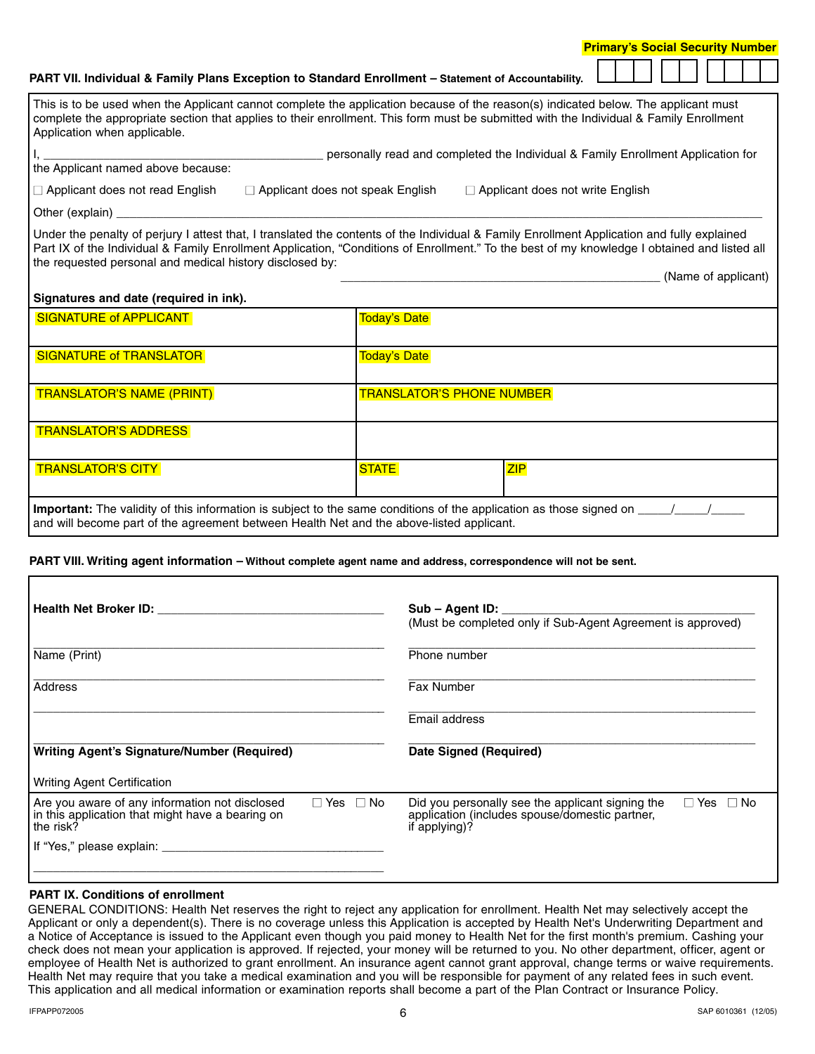|                                        | <b>PART VII. Individual &amp; Family Plans Exception to Standard Enrollment – Statement of Accountability.</b>                                                                                                                                                                              |                                                                                  |  |  |  |
|----------------------------------------|---------------------------------------------------------------------------------------------------------------------------------------------------------------------------------------------------------------------------------------------------------------------------------------------|----------------------------------------------------------------------------------|--|--|--|
| Application when applicable.           | This is to be used when the Applicant cannot complete the application because of the reason(s) indicated below. The applicant must<br>complete the appropriate section that applies to their enrollment. This form must be submitted with the Individual & Family Enrollment                |                                                                                  |  |  |  |
| the Applicant named above because:     |                                                                                                                                                                                                                                                                                             | personally read and completed the Individual & Family Enrollment Application for |  |  |  |
| $\Box$ Applicant does not read English | $\Box$ Applicant does not speak English                                                                                                                                                                                                                                                     | $\Box$ Applicant does not write English                                          |  |  |  |
| Other (explain)                        |                                                                                                                                                                                                                                                                                             |                                                                                  |  |  |  |
|                                        | Under the penalty of perjury I attest that, I translated the contents of the Individual & Family Enrollment Application and fully explained<br>Part IX of the Individual & Family Enrollment Application, "Conditions of Enrollment." To the best of my knowledge I obtained and listed all |                                                                                  |  |  |  |

#### **Signatures and date (required in ink).**

the requested personal and medical history disclosed by:

| <b>SIGNATURE of APPLICANT</b>                                                                                                                                                                                                | <b>Today's Date</b> |                                  |
|------------------------------------------------------------------------------------------------------------------------------------------------------------------------------------------------------------------------------|---------------------|----------------------------------|
| <b>SIGNATURE of TRANSLATOR</b>                                                                                                                                                                                               | <b>Today's Date</b> |                                  |
| <b>TRANSLATOR'S NAME (PRINT)</b>                                                                                                                                                                                             |                     | <b>TRANSLATOR'S PHONE NUMBER</b> |
| <b>TRANSLATOR'S ADDRESS</b>                                                                                                                                                                                                  |                     |                                  |
| <b>TRANSLATOR'S CITY</b>                                                                                                                                                                                                     | <b>STATE</b>        | ZIP                              |
| <b>Important:</b> The validity of this information is subject to the same conditions of the application as those signed on _____<br>and will become part of the agreement between Health Net and the above-listed applicant. |                     |                                  |

#### **PART VIII. Writing agent information – Without complete agent name and address, correspondence will not be sent.**

| <b>Health Net Broker ID:</b> Nealth Net Broker ID:                                                                                      |  | Sub – Agent ID:<br>(Must be completed only if Sub-Agent Agreement is approved)                                                              |  |  |  |  |  |
|-----------------------------------------------------------------------------------------------------------------------------------------|--|---------------------------------------------------------------------------------------------------------------------------------------------|--|--|--|--|--|
| Name (Print)                                                                                                                            |  | Phone number                                                                                                                                |  |  |  |  |  |
| Address                                                                                                                                 |  | <b>Fax Number</b>                                                                                                                           |  |  |  |  |  |
|                                                                                                                                         |  | Email address                                                                                                                               |  |  |  |  |  |
| <b>Writing Agent's Signature/Number (Required)</b>                                                                                      |  | Date Signed (Required)                                                                                                                      |  |  |  |  |  |
| <b>Writing Agent Certification</b>                                                                                                      |  |                                                                                                                                             |  |  |  |  |  |
| Are you aware of any information not disclosed<br>$\Box$ Yes $\Box$ No<br>in this application that might have a bearing on<br>the risk? |  | Did you personally see the applicant signing the<br>$\Box$ Yes $\Box$ No<br>application (includes spouse/domestic partner,<br>if applying)? |  |  |  |  |  |
| If "Yes," please explain:                                                                                                               |  |                                                                                                                                             |  |  |  |  |  |
|                                                                                                                                         |  |                                                                                                                                             |  |  |  |  |  |

#### **PART IX. Conditions of enrollment**

GENERAL CONDITIONS: Health Net reserves the right to reject any application for enrollment. Health Net may selectively accept the Applicant or only a dependent(s). There is no coverage unless this Application is accepted by Health Net's Underwriting Department and a Notice of Acceptance is issued to the Applicant even though you paid money to Health Net for the first month's premium. Cashing your check does not mean your application is approved. If rejected, your money will be returned to you. No other department, officer, agent or employee of Health Net is authorized to grant enrollment. An insurance agent cannot grant approval, change terms or waive requirements. Health Net may require that you take a medical examination and you will be responsible for payment of any related fees in such event. This application and all medical information or examination reports shall become a part of the Plan Contract or Insurance Policy.

(Name of applicant)

**Primary's Social Security Number**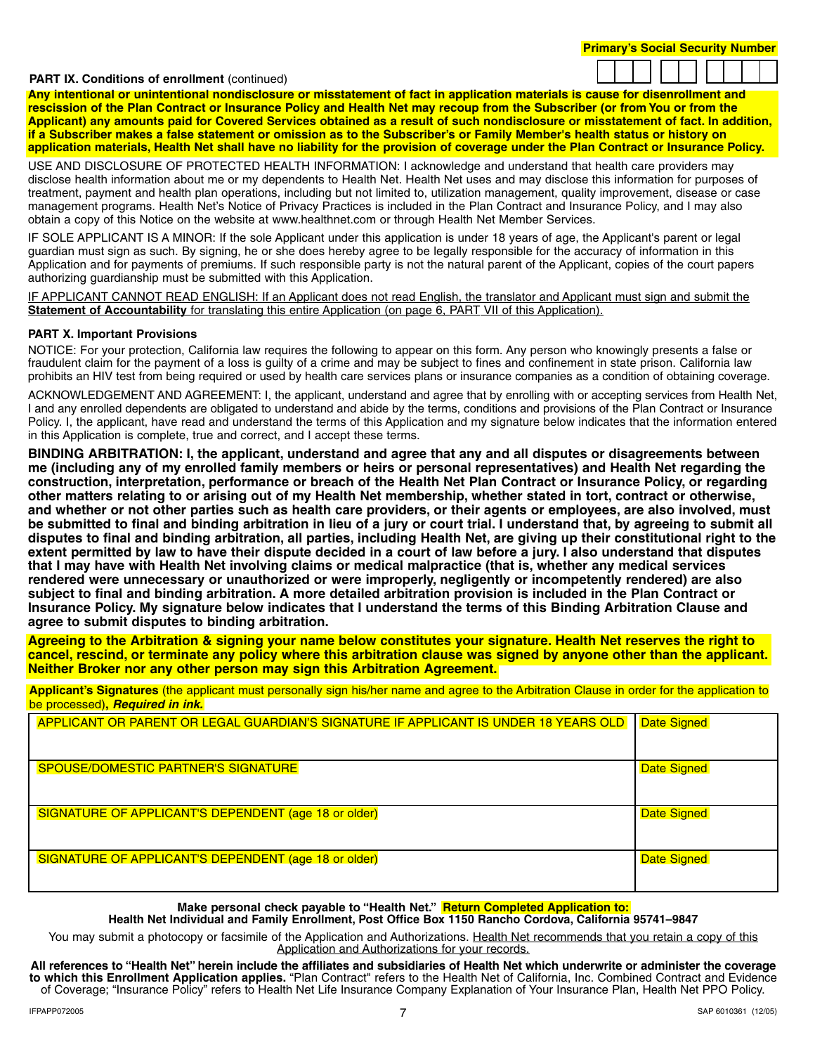#### **PART IX. Conditions of enrollment (continued)**



**Any intentional or unintentional nondisclosure or misstatement of fact in application materials is cause for disenrollment and rescission of the Plan Contract or Insurance Policy and Health Net may recoup from the Subscriber (or from You or from the Applicant) any amounts paid for Covered Services obtained as a result of such nondisclosure or misstatement of fact. In addition, if a Subscriber makes a false statement or omission as to the Subscriber's or Family Member's health status or history on application materials, Health Net shall have no liability for the provision of coverage under the Plan Contract or Insurance Policy.**

USE AND DISCLOSURE OF PROTECTED HEALTH INFORMATION: I acknowledge and understand that health care providers may disclose health information about me or my dependents to Health Net. Health Net uses and may disclose this information for purposes of treatment, payment and health plan operations, including but not limited to, utilization management, quality improvement, disease or case management programs. Health Net's Notice of Privacy Practices is included in the Plan Contract and Insurance Policy, and I may also obtain a copy of this Notice on the website at www.healthnet.com or through Health Net Member Services.

IF SOLE APPLICANT IS A MINOR: If the sole Applicant under this application is under 18 years of age, the Applicant's parent or legal guardian must sign as such. By signing, he or she does hereby agree to be legally responsible for the accuracy of information in this Application and for payments of premiums. If such responsible party is not the natural parent of the Applicant, copies of the court papers authorizing guardianship must be submitted with this Application.

IF APPLICANT CANNOT READ ENGLISH: If an Applicant does not read English, the translator and Applicant must sign and submit the **Statement of Accountability** for translating this entire Application (on page 6, PART VII of this Application).

#### **PART X. Important Provisions**

NOTICE: For your protection, California law requires the following to appear on this form. Any person who knowingly presents a false or fraudulent claim for the payment of a loss is guilty of a crime and may be subject to fines and confinement in state prison. California law prohibits an HIV test from being required or used by health care services plans or insurance companies as a condition of obtaining coverage.

ACKNOWLEDGEMENT AND AGREEMENT: I, the applicant, understand and agree that by enrolling with or accepting services from Health Net, I and any enrolled dependents are obligated to understand and abide by the terms, conditions and provisions of the Plan Contract or Insurance Policy. I, the applicant, have read and understand the terms of this Application and my signature below indicates that the information entered in this Application is complete, true and correct, and I accept these terms.

**BINDING ARBITRATION: I, the applicant, understand and agree that any and all disputes or disagreements between me (including any of my enrolled family members or heirs or personal representatives) and Health Net regarding the construction, interpretation, performance or breach of the Health Net Plan Contract or Insurance Policy, or regarding other matters relating to or arising out of my Health Net membership, whether stated in tort, contract or otherwise, and whether or not other parties such as health care providers, or their agents or employees, are also involved, must be submitted to final and binding arbitration in lieu of a jury or court trial. I understand that, by agreeing to submit all disputes to final and binding arbitration, all parties, including Health Net, are giving up their constitutional right to the extent permitted by law to have their dispute decided in a court of law before a jury. I also understand that disputes that I may have with Health Net involving claims or medical malpractice (that is, whether any medical services rendered were unnecessary or unauthorized or were improperly, negligently or incompetently rendered) are also subject to final and binding arbitration. A more detailed arbitration provision is included in the Plan Contract or Insurance Policy. My signature below indicates that I understand the terms of this Binding Arbitration Clause and agree to submit disputes to binding arbitration.**

**Agreeing to the Arbitration & signing your name below constitutes your signature. Health Net reserves the right to cancel, rescind, or terminate any policy where this arbitration clause was signed by anyone other than the applicant. Neither Broker nor any other person may sign this Arbitration Agreement.**

**Applicant's Signatures** (the applicant must personally sign his/her name and agree to the Arbitration Clause in order for the application to be processed)**, Required in ink.**

| APPLICANT OR PARENT OR LEGAL GUARDIAN'S SIGNATURE IF APPLICANT IS UNDER 18 YEARS OLD | <b>Date Signed</b> |
|--------------------------------------------------------------------------------------|--------------------|
| SPOUSE/DOMESTIC PARTNER'S SIGNATURE                                                  | <b>Date Signed</b> |
| SIGNATURE OF APPLICANT'S DEPENDENT (age 18 or older)                                 | <b>Date Signed</b> |
| SIGNATURE OF APPLICANT'S DEPENDENT (age 18 or older)                                 | <b>Date Signed</b> |

**Make personal check payable to "Health Net." Return Completed Application to: Health Net Individual and Family Enrollment, Post Office Box 1150 Rancho Cordova, California 95741–9847**

You may submit a photocopy or facsimile of the Application and Authorizations. Health Net recommends that you retain a copy of this Application and Authorizations for your records.

**All references to "Health Net" herein include the affiliates and subsidiaries of Health Net which underwrite or administer the coverage to which this Enrollment Application applies.** "Plan Contract" refers to the Health Net of California, Inc. Combined Contract and Evidence of Coverage; "Insurance Policy" refers to Health Net Life Insurance Company Explanation of Your Insurance Plan, Health Net PPO Policy.